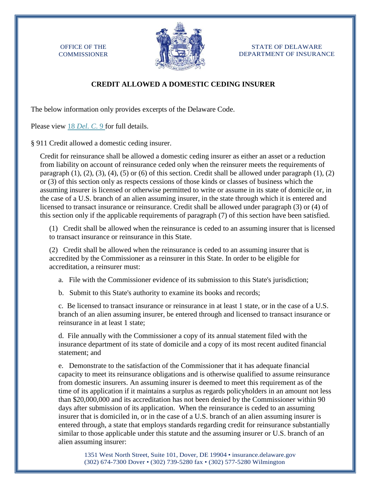OFFICE OF THE **COMMISSIONER** 



STATE OF DELAWARE DEPARTMENT OF INSURANCE

## **CREDIT ALLOWED A DOMESTIC CEDING INSURER**

The below information only provides excerpts of the Delaware Code.

Please view 18 *[Del. C](http://delcode.delaware.gov/title18/c009/sc02/index.shtml)*. 9 for full details.

§ 911 Credit allowed a domestic ceding insurer.

Credit for reinsurance shall be allowed a domestic ceding insurer as either an asset or a reduction from liability on account of reinsurance ceded only when the reinsurer meets the requirements of paragraph  $(1)$ ,  $(2)$ ,  $(3)$ ,  $(4)$ ,  $(5)$  or  $(6)$  of this section. Credit shall be allowed under paragraph  $(1)$ ,  $(2)$ or (3) of this section only as respects cessions of those kinds or classes of business which the assuming insurer is licensed or otherwise permitted to write or assume in its state of domicile or, in the case of a U.S. branch of an alien assuming insurer, in the state through which it is entered and licensed to transact insurance or reinsurance. Credit shall be allowed under paragraph (3) or (4) of this section only if the applicable requirements of paragraph (7) of this section have been satisfied.

(1) Credit shall be allowed when the reinsurance is ceded to an assuming insurer that is licensed to transact insurance or reinsurance in this State.

(2) Credit shall be allowed when the reinsurance is ceded to an assuming insurer that is accredited by the Commissioner as a reinsurer in this State. In order to be eligible for accreditation, a reinsurer must:

a. File with the Commissioner evidence of its submission to this State's jurisdiction;

b. Submit to this State's authority to examine its books and records;

c. Be licensed to transact insurance or reinsurance in at least 1 state, or in the case of a U.S. branch of an alien assuming insurer, be entered through and licensed to transact insurance or reinsurance in at least 1 state;

d. File annually with the Commissioner a copy of its annual statement filed with the insurance department of its state of domicile and a copy of its most recent audited financial statement; and

e. Demonstrate to the satisfaction of the Commissioner that it has adequate financial capacity to meet its reinsurance obligations and is otherwise qualified to assume reinsurance from domestic insurers. An assuming insurer is deemed to meet this requirement as of the time of its application if it maintains a surplus as regards policyholders in an amount not less than \$20,000,000 and its accreditation has not been denied by the Commissioner within 90 days after submission of its application. When the reinsurance is ceded to an assuming insurer that is domiciled in, or in the case of a U.S. branch of an alien assuming insurer is entered through, a state that employs standards regarding credit for reinsurance substantially similar to those applicable under this statute and the assuming insurer or U.S. branch of an alien assuming insurer:

1351 West North Street, Suite 101, Dover, DE 19904 • insurance.delaware.gov (302) 674-7300 Dover • (302) 739-5280 fax • (302) 577-5280 Wilmington